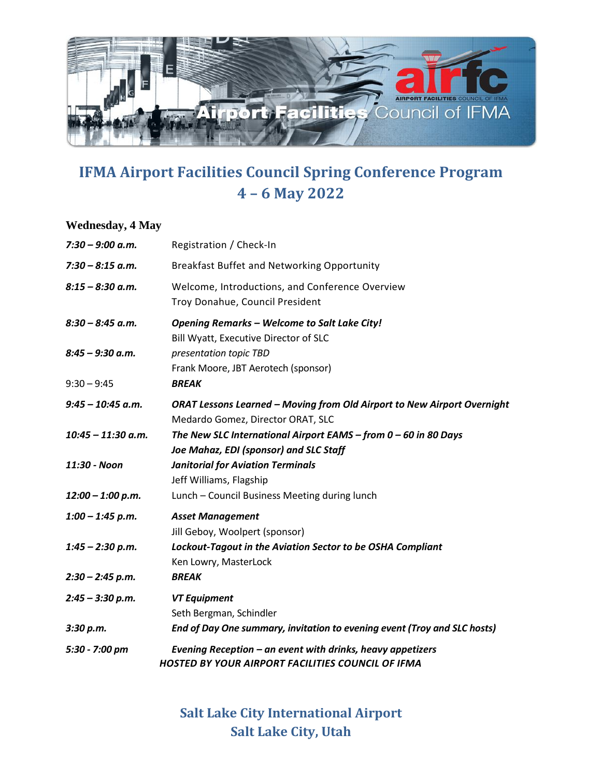

## **IFMA Airport Facilities Council Spring Conference Program 4 – 6 May 2022**

## **Wednesday, 4 May**

| $7:30 - 9:00$ a.m.   | Registration / Check-In                                                                                             |
|----------------------|---------------------------------------------------------------------------------------------------------------------|
| $7:30 - 8:15$ a.m.   | Breakfast Buffet and Networking Opportunity                                                                         |
| $8:15 - 8:30$ a.m.   | Welcome, Introductions, and Conference Overview<br>Troy Donahue, Council President                                  |
| $8:30 - 8:45$ a.m.   | <b>Opening Remarks - Welcome to Salt Lake City!</b><br>Bill Wyatt, Executive Director of SLC                        |
| $8:45 - 9:30$ a.m.   | presentation topic TBD<br>Frank Moore, JBT Aerotech (sponsor)                                                       |
| $9:30 - 9:45$        | <b>BREAK</b>                                                                                                        |
| $9:45 - 10:45$ a.m.  | <b>ORAT Lessons Learned - Moving from Old Airport to New Airport Overnight</b><br>Medardo Gomez, Director ORAT, SLC |
| $10:45 - 11:30$ a.m. | The New SLC International Airport EAMS - from $0 - 60$ in 80 Days<br>Joe Mahaz, EDI (sponsor) and SLC Staff         |
| 11:30 - Noon         | <b>Janitorial for Aviation Terminals</b><br>Jeff Williams, Flagship                                                 |
| $12:00 - 1:00 p.m.$  | Lunch - Council Business Meeting during lunch                                                                       |
| $1:00 - 1:45$ p.m.   | <b>Asset Management</b><br>Jill Geboy, Woolpert (sponsor)                                                           |
| $1:45 - 2:30 p.m.$   | Lockout-Tagout in the Aviation Sector to be OSHA Compliant<br>Ken Lowry, MasterLock                                 |
| $2:30 - 2:45 p.m.$   | <b>BREAK</b>                                                                                                        |
| $2:45 - 3:30 p.m.$   | <b>VT Equipment</b><br>Seth Bergman, Schindler                                                                      |
| 3:30 p.m.            | End of Day One summary, invitation to evening event (Troy and SLC hosts)                                            |
| 5:30 - 7:00 pm       | Evening Reception - an event with drinks, heavy appetizers<br>HOSTED BY YOUR AIRPORT FACILITIES COUNCIL OF IFMA     |

**Salt Lake City International Airport Salt Lake City, Utah**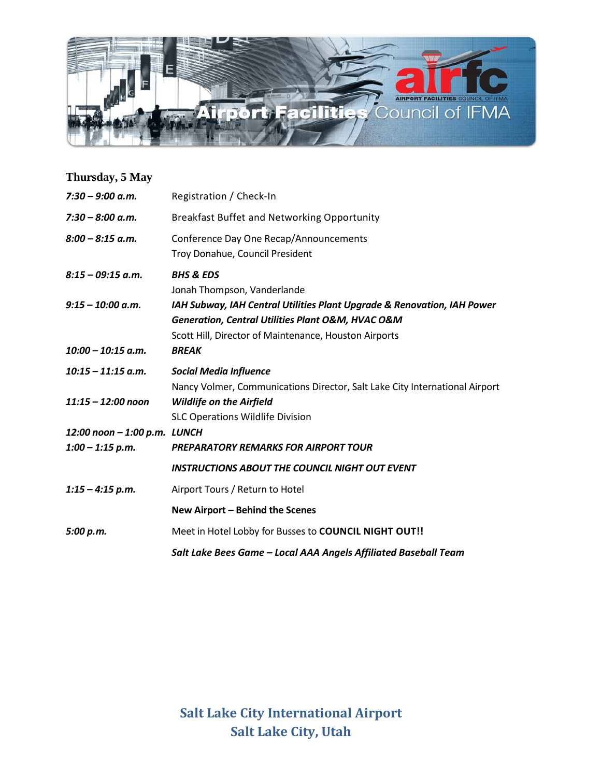

| Thursday, 5 May              |                                                                                                                                                                                                      |
|------------------------------|------------------------------------------------------------------------------------------------------------------------------------------------------------------------------------------------------|
| $7:30 - 9:00$ a.m.           | Registration / Check-In                                                                                                                                                                              |
| $7:30 - 8:00$ a.m.           | Breakfast Buffet and Networking Opportunity                                                                                                                                                          |
| $8:00 - 8:15$ a.m.           | Conference Day One Recap/Announcements<br>Troy Donahue, Council President                                                                                                                            |
| $8:15 - 09:15$ a.m.          | <b>BHS &amp; EDS</b><br>Jonah Thompson, Vanderlande                                                                                                                                                  |
| $9:15 - 10:00$ a.m.          | IAH Subway, IAH Central Utilities Plant Upgrade & Renovation, IAH Power<br><b>Generation, Central Utilities Plant O&amp;M, HVAC O&amp;M</b><br>Scott Hill, Director of Maintenance, Houston Airports |
| $10:00 - 10:15$ a.m.         | <b>BREAK</b>                                                                                                                                                                                         |
| $10:15 - 11:15$ a.m.         | <b>Social Media Influence</b>                                                                                                                                                                        |
| $11:15 - 12:00$ noon         | Nancy Volmer, Communications Director, Salt Lake City International Airport<br><b>Wildlife on the Airfield</b><br><b>SLC Operations Wildlife Division</b>                                            |
| 12:00 noon - 1:00 p.m. LUNCH |                                                                                                                                                                                                      |
| $1:00 - 1:15$ p.m.           | <b>PREPARATORY REMARKS FOR AIRPORT TOUR</b>                                                                                                                                                          |
|                              | <b>INSTRUCTIONS ABOUT THE COUNCIL NIGHT OUT EVENT</b>                                                                                                                                                |
| $1:15 - 4:15$ p.m.           | Airport Tours / Return to Hotel                                                                                                                                                                      |
|                              | New Airport - Behind the Scenes                                                                                                                                                                      |
| 5:00 p.m.                    | Meet in Hotel Lobby for Busses to COUNCIL NIGHT OUT!!                                                                                                                                                |
|                              | Salt Lake Bees Game - Local AAA Angels Affiliated Baseball Team                                                                                                                                      |

**Salt Lake City International Airport Salt Lake City, Utah**